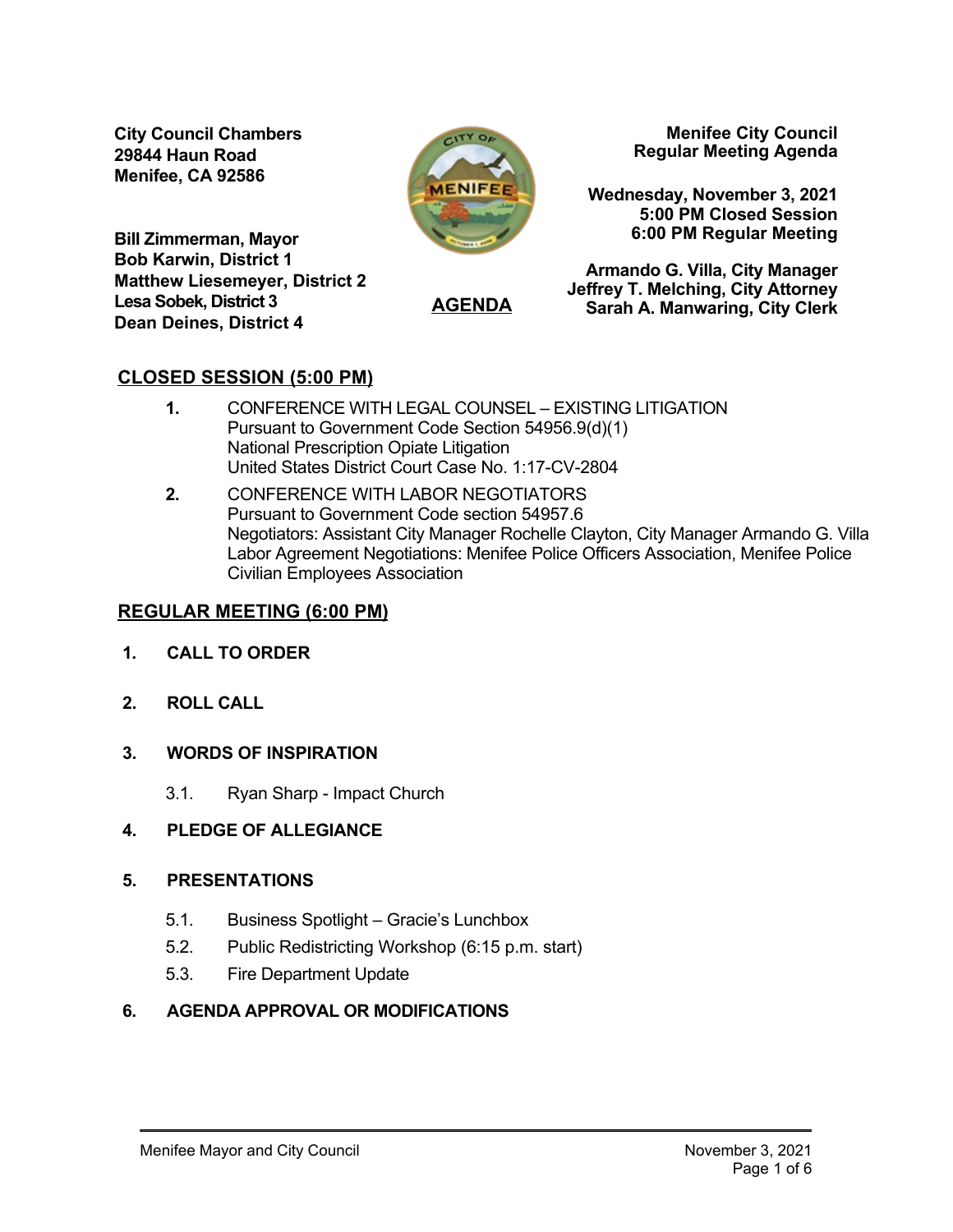**City Council Chambers 29844 Haun Road Menifee, CA 92586**



**AGENDA**

**Menifee City Council Regular Meeting Agenda**

**Wednesday, November 3, 2021 5:00 PM Closed Session 6:00 PM Regular Meeting**

**Bill Zimmerman, Mayor Bob Karwin, District 1 Matthew Liesemeyer, District 2 Lesa Sobek, District 3 Dean Deines, District 4**

**Armando G. Villa, City Manager Jeffrey T. Melching, City Attorney Sarah A. Manwaring, City Clerk**

# **CLOSED SESSION (5:00 PM)**

- **1.** CONFERENCE WITH LEGAL COUNSEL EXISTING LITIGATION Pursuant to Government Code Section 54956.9(d)(1) National Prescription Opiate Litigation United States District Court Case No. 1:17-CV-2804
- **2.** CONFERENCE WITH LABOR NEGOTIATORS Pursuant to Government Code section 54957.6 Negotiators: Assistant City Manager Rochelle Clayton, City Manager Armando G. Villa Labor Agreement Negotiations: Menifee Police Officers Association, Menifee Police Civilian Employees Association

# **REGULAR MEETING (6:00 PM)**

- **1. CALL TO ORDER**
- **2. ROLL CALL**
- **3. WORDS OF INSPIRATION** 
	- 3.1. Ryan Sharp Impact Church

# **4. PLEDGE OF ALLEGIANCE**

# **5. PRESENTATIONS**

- 5.1. Business Spotlight Gracie's Lunchbox
- 5.2. Public Redistricting Workshop (6:15 p.m. start)
- 5.3. Fire Department Update

# **6. AGENDA APPROVAL OR MODIFICATIONS**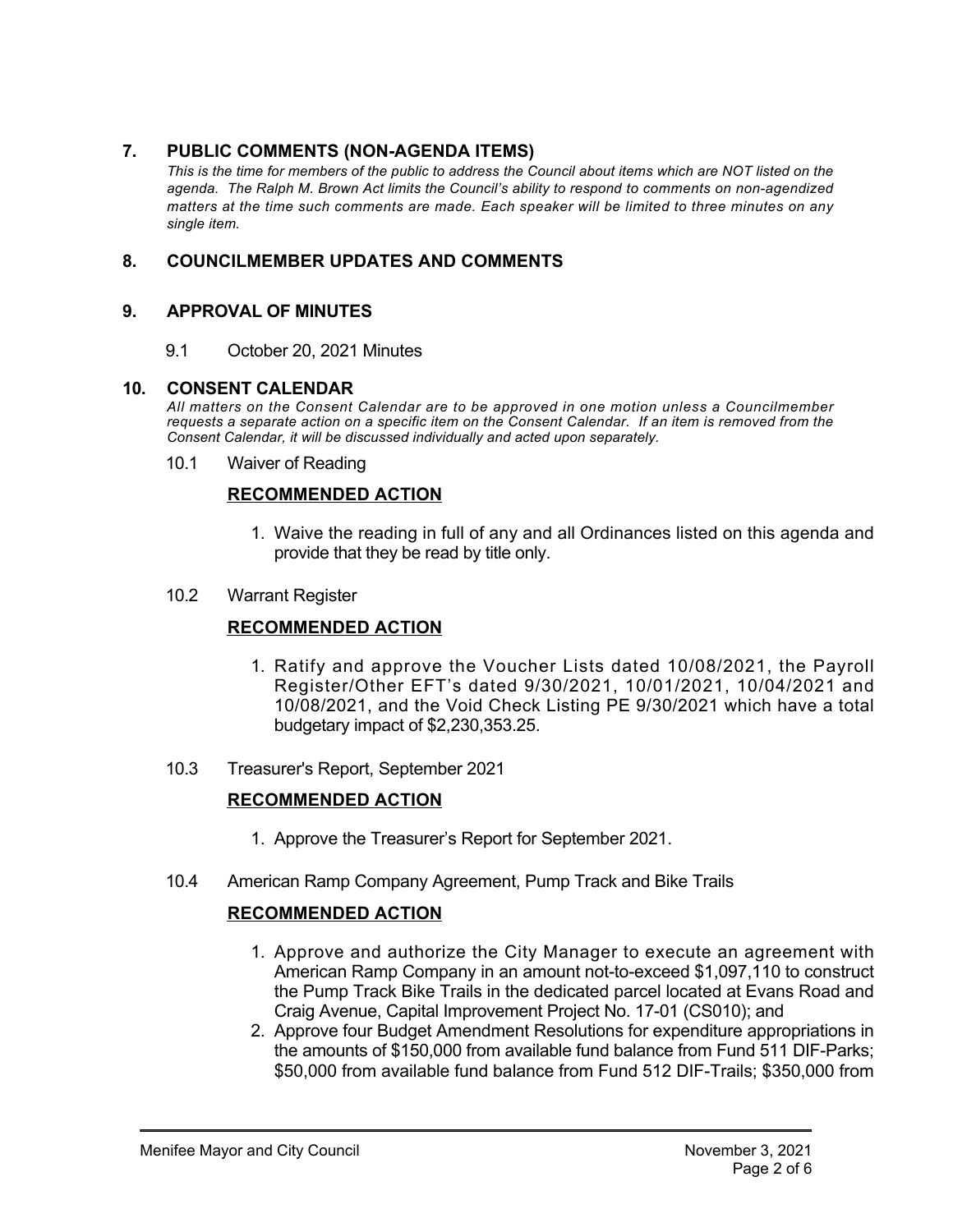### 7. **PUBLIC COMMENTS (NON-AGENDA ITEMS)**

*This is the time for members of the public to address the Council about items which are NOT listed on the* agenda. The Ralph M. Brown Act limits the Council's ability to respond to comments on non-agendized *matters at the time such comments are made. Each speaker will be limited to three minutes on any single item.* 

### **8. COUNCILMEMBER UPDATES AND COMMENTS**

#### **9. APPROVAL OF MINUTES**

9.1 October 20, 2021 Minutes

#### **10. CONSENT CALENDAR**

*All matters on the Consent Calendar are to be approved in one motion unless a Councilmember requests a separate action on a specific item on the Consent Calendar. If an item is removed from the Consent Calendar, it will be discussed individually and acted upon separately.*

10.1 Waiver of Reading

#### **RECOMMENDED ACTION**

- 1. Waive the reading in full of any and all Ordinances listed on this agenda and provide that they be read by title only.
- 10.2 Warrant Register

### **RECOMMENDED ACTION**

- 1. Ratify and approve the Voucher Lists dated 10/08/2021, the Payroll Register/Other EFT's dated 9/30/2021, 10/01/2021, 10/04/2021 and 10/08/2021, and the Void Check Listing PE 9/30/2021 which have a total budgetary impact of \$2,230,353.25.
- 10.3 Treasurer's Report, September 2021

#### **RECOMMENDED ACTION**

- 1. Approve the Treasurer's Report for September 2021.
- 10.4 American Ramp Company Agreement, Pump Track and Bike Trails

#### **RECOMMENDED ACTION**

- 1. Approve and authorize the City Manager to execute an agreement with American Ramp Company in an amount not-to-exceed \$1,097,110 to construct the Pump Track Bike Trails in the dedicated parcel located at Evans Road and Craig Avenue, Capital Improvement Project No. 17-01 (CS010); and
- 2. Approve four Budget Amendment Resolutions for expenditure appropriations in the amounts of \$150,000 from available fund balance from Fund 511 DIF-Parks: \$50,000 from available fund balance from Fund 512 DIF-Trails; \$350,000 from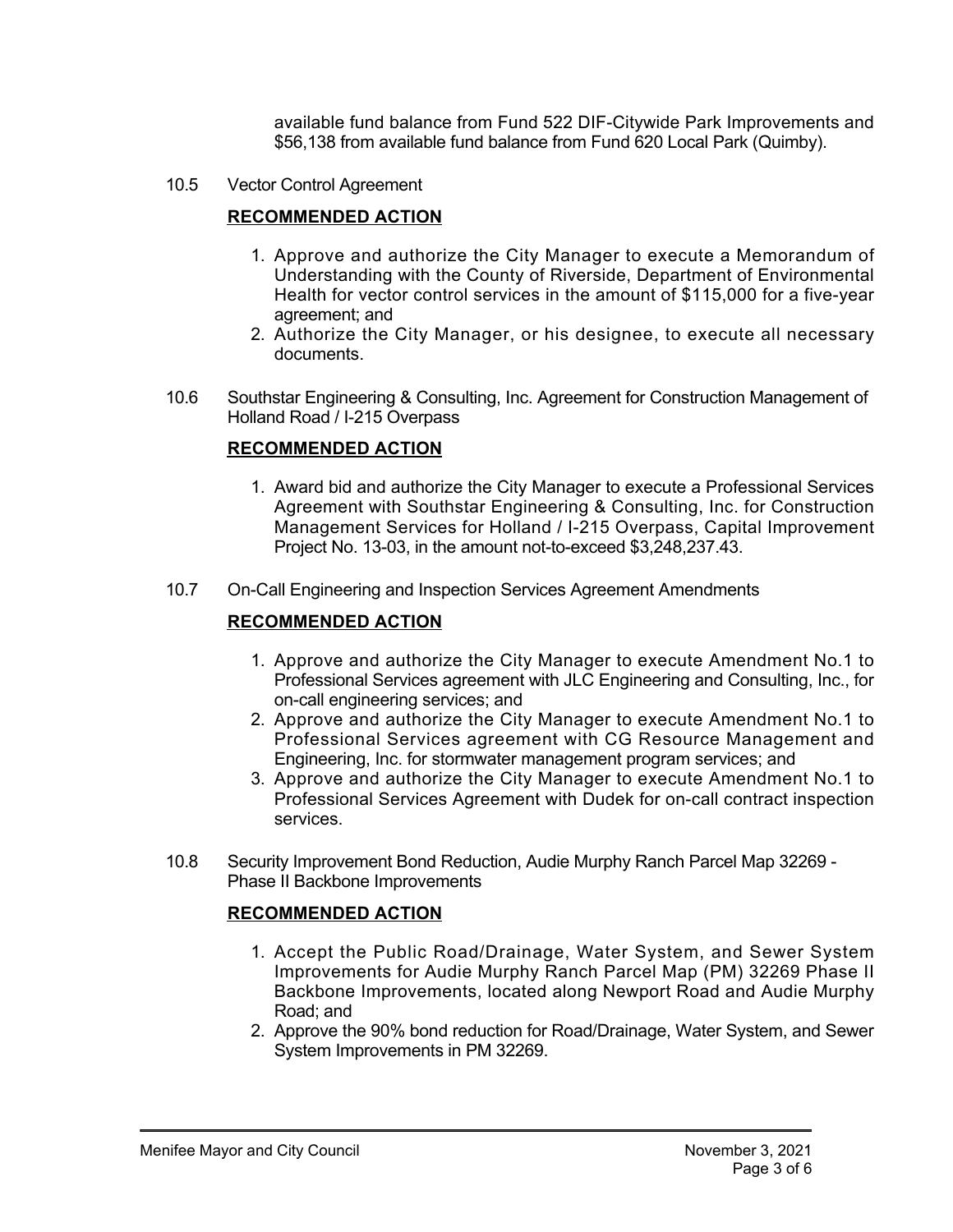available fund balance from Fund 522 DIF-Citywide Park Improvements and \$56,138 from available fund balance from Fund 620 Local Park (Quimby).

10.5 Vector Control Agreement

### **RECOMMENDED ACTION**

- 1. Approve and authorize the City Manager to execute a Memorandum of Understanding with the County of Riverside, Department of Environmental Health for vector control services in the amount of \$115,000 for a five-year agreement; and
- 2. Authorize the City Manager, or his designee, to execute all necessary documents.
- 10.6 Southstar Engineering & Consulting, Inc. Agreement for Construction Management of Holland Road / I-215 Overpass

#### **RECOMMENDED ACTION**

- 1. Award bid and authorize the City Manager to execute a Professional Services Agreement with Southstar Engineering & Consulting, Inc. for Construction Management Services for Holland / I-215 Overpass, Capital Improvement Project No. 13-03, in the amount not-to-exceed \$3,248,237.43.
- 10.7 On-Call Engineering and Inspection Services Agreement Amendments

### **RECOMMENDED ACTION**

- 1. Approve and authorize the City Manager to execute Amendment No.1 to Professional Services agreement with JLC Engineering and Consulting, Inc., for on-call engineering services; and
- 2. Approve and authorize the City Manager to execute Amendment No.1 to Professional Services agreement with CG Resource Management and Engineering, Inc. for stormwater management program services; and
- 3. Approve and authorize the City Manager to execute Amendment No.1 to Professional Services Agreement with Dudek for on-call contract inspection services.
- 10.8 Security Improvement Bond Reduction, Audie Murphy Ranch Parcel Map 32269 Phase II Backbone Improvements

#### **RECOMMENDED ACTION**

**RECOMMENDED ACTION**

- 1. Accept the Public Road/Drainage, Water System, and Sewer System Improvements for Audie Murphy Ranch Parcel Map (PM) 32269 Phase II Backbone Improvements, located along Newport Road and Audie Murphy Road; and
- 2. Approve the 90% bond reduction for Road/Drainage, Water System, and Sewer System Improvements in PM 32269.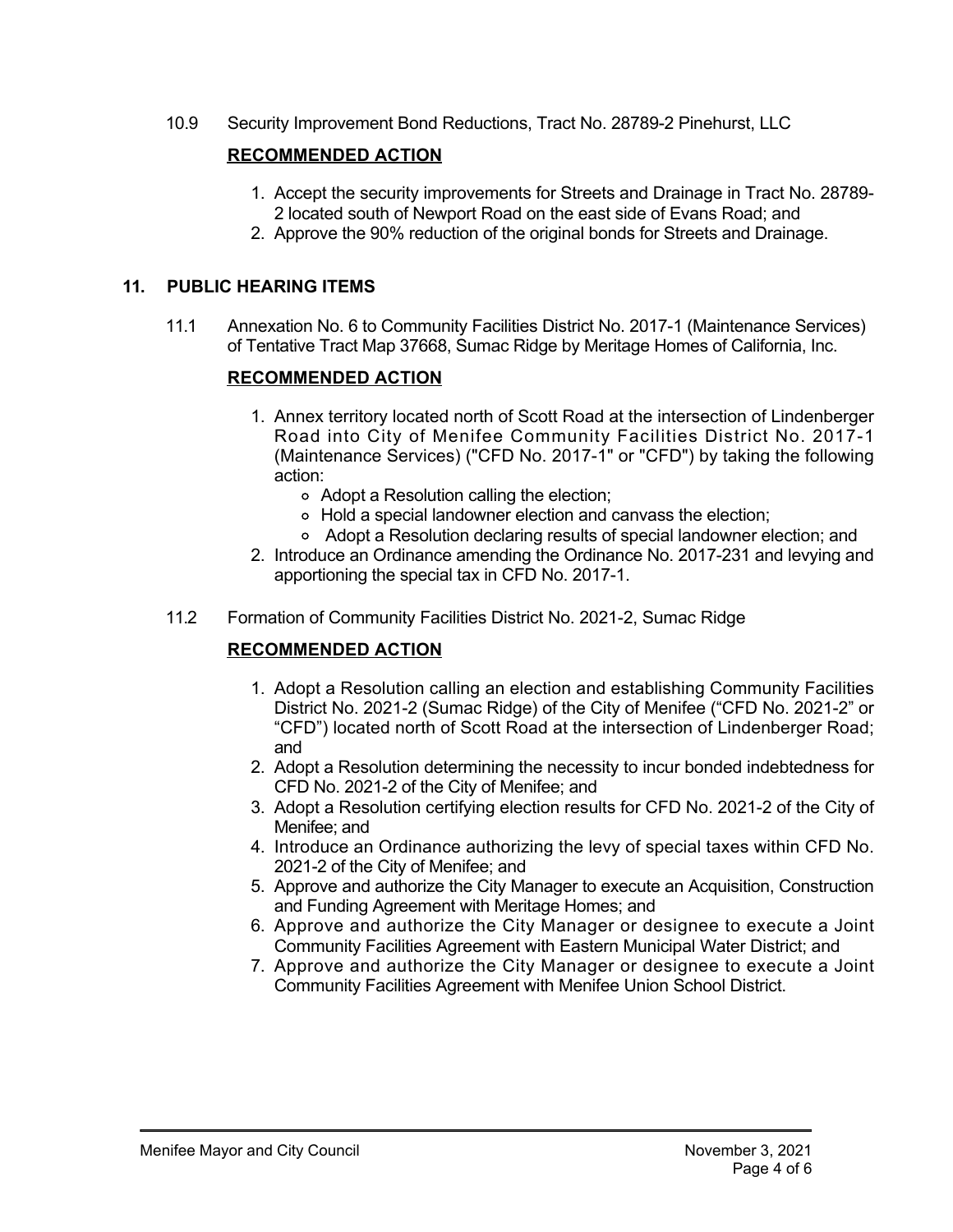10.9 Security Improvement Bond Reductions, Tract No. 287892 Pinehurst, LLC

### **RECOMMENDED ACTION**

- 1. Accept the security improvements for Streets and Drainage in Tract No. 28789 2 located south of Newport Road on the east side of Evans Road; and
- 2. Approve the 90% reduction of the original bonds for Streets and Drainage.

#### **11. PUBLIC HEARING ITEMS**

11.1 Annexation No. 6 to Community Facilities District No. 20171 (Maintenance Services) of Tentative Tract Map 37668, Sumac Ridge by Meritage Homes of California, Inc.

### **RECOMMENDED ACTION**

- 1. Annex territory located north of Scott Road at the intersection of Lindenberger Road into City of Menifee Community Facilities District No. 2017-1 (Maintenance Services) ("CFD No. 2017-1" or "CFD") by taking the following action:
	- Adopt a Resolution calling the election;
	- Hold a special landowner election and canvass the election;
	- Adopt a Resolution declaring results of special landowner election; and
- 2. Introduce an Ordinance amending the Ordinance No. 2017-231 and levying and apportioning the special tax in CFD No. 2017-1.
- 11.2 Formation of Community Facilities District No. 2021-2, Sumac Ridge

### **RECOMMENDED ACTION**

- 1. Adopt a Resolution calling an election and establishing Community Facilities District No. 2021-2 (Sumac Ridge) of the City of Menifee ("CFD No. 2021-2" or "CFD") located north of Scott Road at the intersection of Lindenberger Road; and
- 2. Adopt a Resolution determining the necessity to incur bonded indebtedness for CFD No. 2021-2 of the City of Menifee; and
- 3. Adopt a Resolution certifying election results for CFD No. 2021-2 of the City of Menifee; and
- 4. Introduce an Ordinance authorizing the levy of special taxes within CFD No. 2021-2 of the City of Menifee; and
- 5. Approve and authorize the City Manager to execute an Acquisition, Construction and Funding Agreement with Meritage Homes; and
- 6. Approve and authorize the City Manager or designee to execute a Joint Community Facilities Agreement with Eastern Municipal Water District; and
- 7. Approve and authorize the City Manager or designee to execute a Joint Community Facilities Agreement with Menifee Union School District.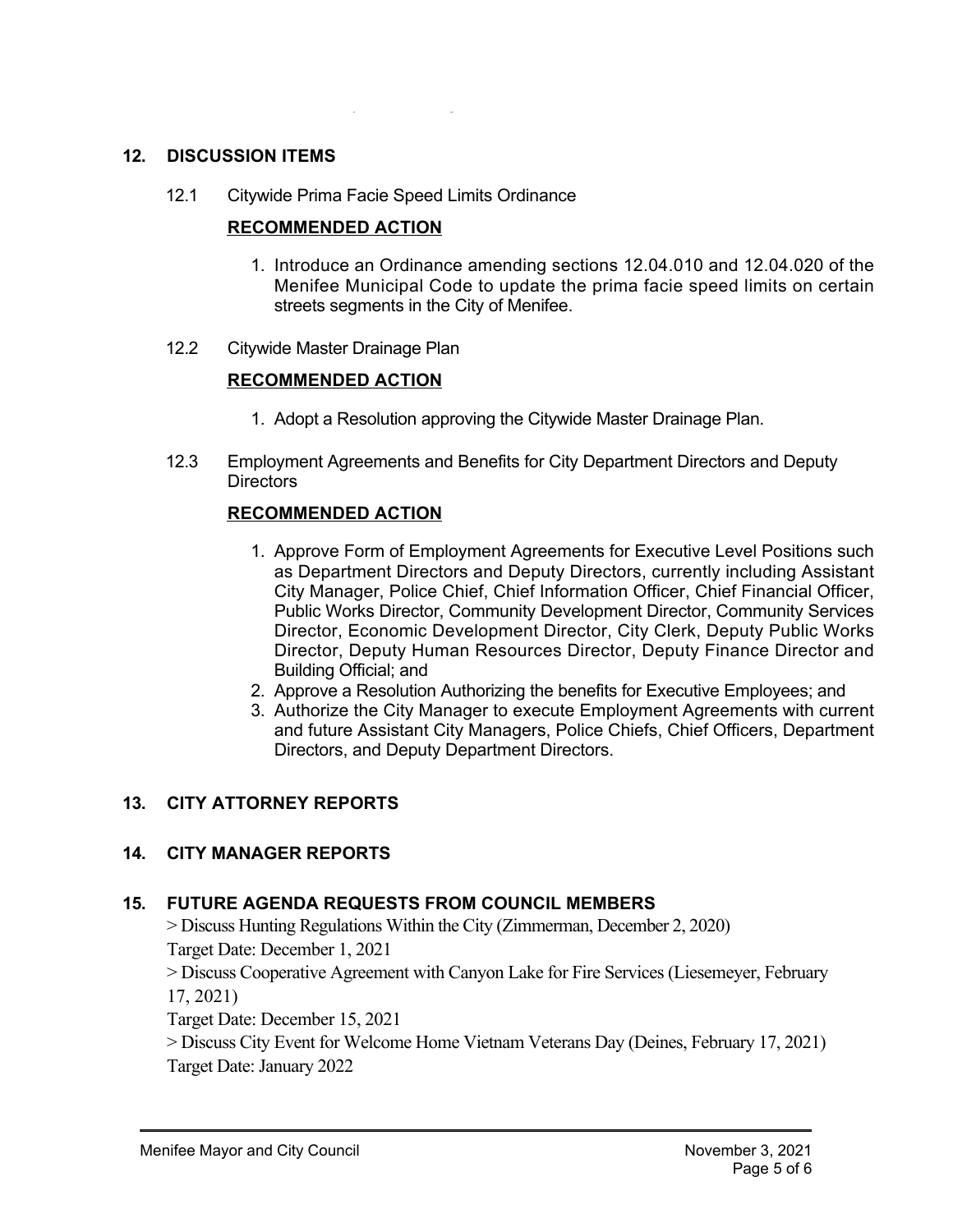### **12. DISCUSSION ITEMS**

12.1 Citywide Prima Facie Speed Limits Ordinance

#### **RECOMMENDED ACTION**

- 1. Introduce an Ordinance amending sections 12.04.010 and 12.04.020 of the Menifee Municipal Code to update the prima facie speed limits on certain streets segments in the City of Menifee.
- 12.2 Citywide Master Drainage Plan

#### **RECOMMENDED ACTION**

- 1. Adopt a Resolution approving the Citywide Master Drainage Plan.
- 12.3 Employment Agreements and Benefits for City Department Directors and Deputy **Directors**

#### **RECOMMENDED ACTION**

- 1. Approve Form of Employment Agreements for Executive Level Positions such as Department Directors and Deputy Directors, currently including Assistant City Manager, Police Chief, Chief Information Officer, Chief Financial Officer, Public Works Director, Community Development Director, Community Services Director, Economic Development Director, City Clerk, Deputy Public Works Director, Deputy Human Resources Director, Deputy Finance Director and Building Official; and
- 2. Approve a Resolution Authorizing the benefits for Executive Employees; and
- 3. Authorize the City Manager to execute Employment Agreements with current and future Assistant City Managers, Police Chiefs, Chief Officers, Department Directors, and Deputy Department Directors.

#### **13. CITY ATTORNEY REPORTS**

#### **14. CITY MANAGER REPORTS**

#### **15. FUTURE AGENDA REQUESTS FROM COUNCIL MEMBERS**

> Discuss Hunting Regulations Within the City (Zimmerman, December 2, 2020)

Target Date: December 1, 2021

> Discuss Cooperative Agreement with Canyon Lake for Fire Services (Liesemeyer, February 17, 2021)

Target Date: December 15, 2021

> Discuss City Event for Welcome Home Vietnam Veterans Day (Deines, February 17, 2021) Target Date: January 2022